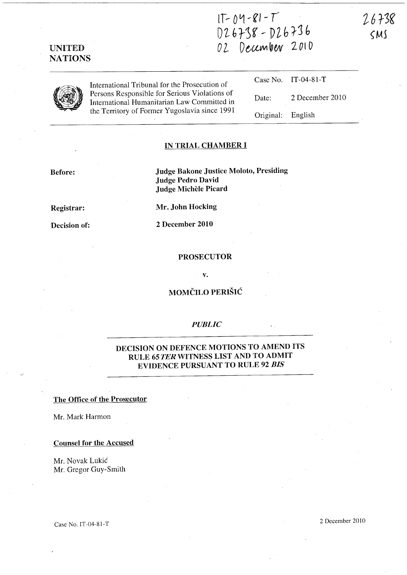$1T - 04 - 81 - T$ 01. 6r:)g' ..- Dlh 1-J b  $22$  December 2010

Original: English

26738

 $SMS$ 

UNITED **NATIONS** 

|   | International Tribunal for the Prosecution of                                                |                                                                                                     | Case No. IT-04-81-T |
|---|----------------------------------------------------------------------------------------------|-----------------------------------------------------------------------------------------------------|---------------------|
| J | Persons Responsible for Serious Violations of<br>International Humanitarian Law Committed in | Date:                                                                                               | 2 December 2010     |
|   | the Territory of Former Yugoslavia since 1991                                                | $\bigcap_{m}$ $\bigcup_{m} \bigcap_{n} \bigcap_{m} \bigcap_{m} \bigcap_{m} \bigcap_{m} \bigcap_{m}$ |                     |

### IN TRIAL CHAMBER I

## Before:

Judge Bakone Justice Moloto, Presiding Judge Pedro David Judge Michèle Picard

Registrar:

Decision of:

Mr. John Hocking

2 December 2010

#### PROSECUTOR

v.

# MOMČILO PERIŠIĆ

## *PUBLIC*

## DECISION ON DEFENCE MOTIONS TO AMEND ITS RULE 65 TER WITNESS LIST AND TO ADMIT EVIDENCE PURSUANT TO RULE 92 *BIS*

#### The Office of the Prosecutor

Mr. Mark Harmon

Counsel for the Accused

Mr. Novak Lukic Mr. Gregor Guy-Smith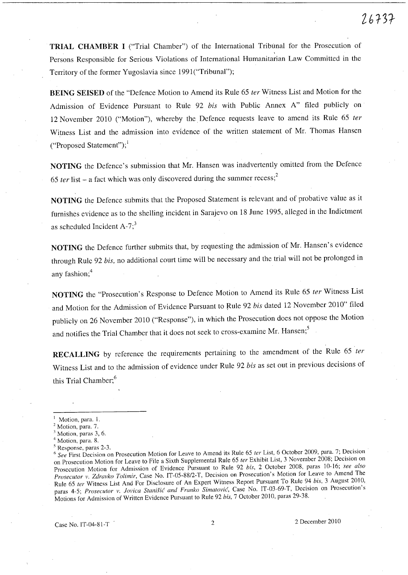**TRIAL CHAMBER I** ("Trial Chamber") of the International Tribunal for the Prosecution of Persons Responsible for Serious Violations of International Humanitarian Law Committed in the Territory of the former Yugoslavia since 1991("Tribunal");

**BEING SEISED** of the "Defence Motion to Amend its Rule 65 *ter* Witness List and Motion for the Admission of Evidence Pursuant to Rule 92 *his* with Public Annex A" filed publicly on 12 November 2010 ("Motion"), whereby the. Defence requests leave to amend its Rule 65 *ter*  Witness List and the admission into evidence of the written statement of Mr. Thomas Hansen  $("Proposed Statement")$ ;

**NOTING** the Defence's submission that Mr. Hansen was inadvertently omitted from the Defence 65 ter list  $-$  a fact which was only discovered during the summer recess;<sup>2</sup>

**NOTING** the Defence submits that the Proposed Statement is relevant and of probative value as it furnishes evidence as to the shelling incident in Sarajevo on 18 June 1995, alleged in the Indictment as scheduled Incident  $A-7$ ;<sup>3</sup>

**NOTING** the Defence further submits that, by requesting the admission of Mr. Hansen's evidence through Rule 92 *his,* no additional court time will be necessary and the trial will not be prolonged in any fashion;<sup>4</sup>

**NOTING** the "Prosecution's Response to Defence Motion to Amend its Rule 65 *ter* Witness List and Motion for the Admission of Evidence Pursuant to Rule 92 *his* dated 12 November 2010" filed publicly on 26 November 2010 ("Response"), in which the Prosecution does not oppose the Motion and notifies the Trial Chamber that it does not seek to cross-examine Mr. Hansen;<sup>5</sup>

**RECALLING** by reference the requirements pertaining to the amendment of the Rule 65 *ter*  Witness List and to the admission of evidence under Rule 92 *his* as set out in previous decisions of this Trial Chamber;<sup>6</sup>

Motion, paras 3, 6.

S Response, paras 2-3.

Case No. IT-04-81-T 2 2 December 2010

Motion, para. 1.

Motion, para. 7.

<sup>4</sup> Motion, para. S.

<sup>6</sup>*See* First Decision on Prosecution Motion for Leave to Amend its Rule 65 *ter* List, 6 October 2009, para. 7; Decision on Prosecution Motion for Leave to File a Sixth Supplemental Rule 65 *ter* Exhibit List, 3 November 200S; Decision on Prosecution Motion for Admission of Evidence Pursuant to Rule 92 *bis*, 2 October 2008, paras 10-16; see *also Prosecutor v. Zdravko Tolimir,* Case No. IT-05-SS/2-T, Decision on Prosecution's Motion for Leave to Amend The Rule 65 *ter* Witness List And For Disclosure of An Expert Witness Report Pursuant To Rule 94 *his,* 3 August 2010, paras 4-5; Prosecutor v. Jovica Stanišić and Franko Simatović, Case No. IT-03-69-T, Decision on Prosecution's Motions for Admission of Written Evidence Pursuant to Rule 92 *his,* 7 October 2010, paras 29-3S.